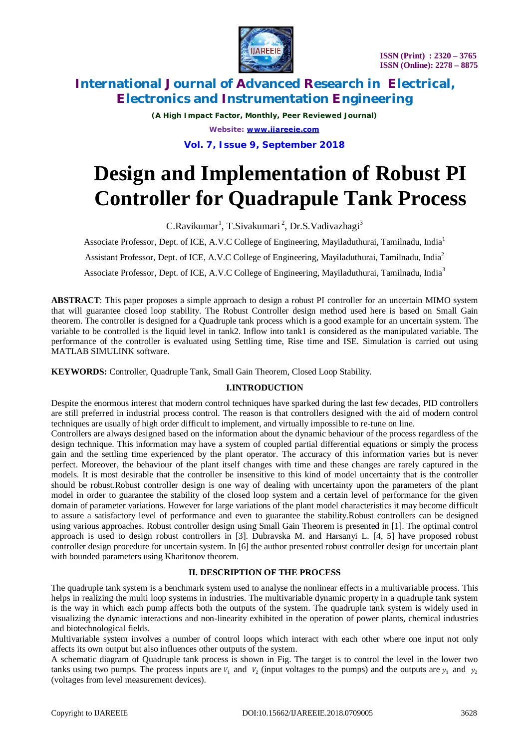

*(A High Impact Factor, Monthly, Peer Reviewed Journal) Website: [www.ijareeie.com](http://www.ijareeie.com)*

### **Vol. 7, Issue 9, September 2018**

# **Design and Implementation of Robust PI Controller for Quadrapule Tank Process**

C.Ravikumar<sup>1</sup>, T.Sivakumari<sup>2</sup>, Dr.S.Vadivazhagi<sup>3</sup>

Associate Professor, Dept. of ICE, A.V.C College of Engineering, Mayiladuthurai, Tamilnadu, India<sup>1</sup>

Assistant Professor, Dept. of ICE, A.V.C College of Engineering, Mayiladuthurai, Tamilnadu, India<sup>2</sup>

Associate Professor, Dept. of ICE, A.V.C College of Engineering, Mayiladuthurai, Tamilnadu, India<sup>3</sup>

**ABSTRACT**: This paper proposes a simple approach to design a robust PI controller for an uncertain MIMO system that will guarantee closed loop stability. The Robust Controller design method used here is based on Small Gain theorem. The controller is designed for a Quadruple tank process which is a good example for an uncertain system. The variable to be controlled is the liquid level in tank2. Inflow into tank1 is considered as the manipulated variable. The performance of the controller is evaluated using Settling time, Rise time and ISE. Simulation is carried out using MATLAB SIMULINK software.

**KEYWORDS:** Controller, Quadruple Tank, Small Gain Theorem, Closed Loop Stability.

### **I.INTRODUCTION**

Despite the enormous interest that modern control techniques have sparked during the last few decades, PID controllers are still preferred in industrial process control. The reason is that controllers designed with the aid of modern control techniques are usually of high order difficult to implement, and virtually impossible to re-tune on line.

Controllers are always designed based on the information about the dynamic behaviour of the process regardless of the design technique. This information may have a system of coupled partial differential equations or simply the process gain and the settling time experienced by the plant operator. The accuracy of this information varies but is never perfect. Moreover, the behaviour of the plant itself changes with time and these changes are rarely captured in the models. It is most desirable that the controller be insensitive to this kind of model uncertainty that is the controller should be robust.Robust controller design is one way of dealing with uncertainty upon the parameters of the plant model in order to guarantee the stability of the closed loop system and a certain level of performance for the given domain of parameter variations. However for large variations of the plant model characteristics it may become difficult to assure a satisfactory level of performance and even to guarantee the stability.Robust controllers can be designed using various approaches. Robust controller design using Small Gain Theorem is presented in [1]. The optimal control approach is used to design robust controllers in [3]. Dubravska M. and Harsanyi L. [4, 5] have proposed robust controller design procedure for uncertain system. In [6] the author presented robust controller design for uncertain plant with bounded parameters using Kharitonov theorem.

### **II. DESCRIPTION OF THE PROCESS**

The quadruple tank system is a benchmark system used to analyse the nonlinear effects in a multivariable process. This helps in realizing the multi loop systems in industries. The multivariable dynamic property in a quadruple tank system is the way in which each pump affects both the outputs of the system. The quadruple tank system is widely used in visualizing the dynamic interactions and non-linearity exhibited in the operation of power plants, chemical industries and biotechnological fields.

Multivariable system involves a number of control loops which interact with each other where one input not only affects its own output but also influences other outputs of the system.

A schematic diagram of Quadruple tank process is shown in Fig. The target is to control the level in the lower two tanks using two pumps. The process inputs are  $V_1$  and  $V_2$  (input voltages to the pumps) and the outputs are  $y_1$  and  $y_2$ (voltages from level measurement devices).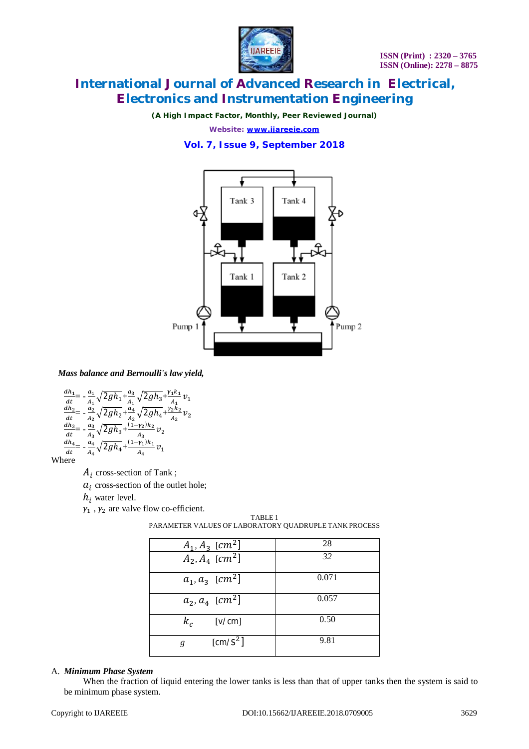

*(A High Impact Factor, Monthly, Peer Reviewed Journal)*

*Website: [www.ijareeie.com](http://www.ijareeie.com)*

### **Vol. 7, Issue 9, September 2018**



*Mass balance and Bernoulli's law yield,*

$$
\begin{array}{l} \frac{dh_1}{dt} = -\frac{a_1}{A_1}\sqrt{2gh_1} + \frac{a_3}{A_1}\sqrt{2gh_3} + \frac{\gamma_1 k_1}{A_1}v_1\\ \frac{dh_2}{dt} = -\frac{a_2}{A_2}\sqrt{2gh_2} + \frac{a_4}{A_2}\sqrt{2gh_4} + \frac{\gamma_2 k_2}{A_2}v_2\\ \frac{dh_3}{dt} = -\frac{a_3}{A_3}\sqrt{2gh_3} + \frac{(1-\gamma_2)k_2}{A_3}v_2\\ \frac{dh_4}{dt} = -\frac{a_4}{A_4}\sqrt{2gh_4} + \frac{(1-\gamma_1)k_1}{A_4}v_1 \end{array}
$$

Where

 $A_i$  cross-section of Tank;

 $a_i$  cross-section of the outlet hole;

 $h_i$  water level.

 $\gamma_1$ ,  $\gamma_2$  are valve flow co-efficient.

| $A_1, A_3$ [cm <sup>2</sup> ] | 28    |
|-------------------------------|-------|
| $A_2, A_4$ [cm <sup>2</sup> ] | 32    |
| $a_1, a_3$ [cm <sup>2</sup> ] | 0.071 |
| $a_2, a_4$ [cm <sup>2</sup> ] | 0.057 |
| $k_c$<br>[v/cm]               | 0.50  |
| $\text{[cm/S}^2$ ]<br>g       | 9.81  |

TABLE 1 PARAMETER VALUES OF LABORATORY QUADRUPLE TANK PROCESS

### A. *Minimum Phase System*

When the fraction of liquid entering the lower tanks is less than that of upper tanks then the system is said to be minimum phase system.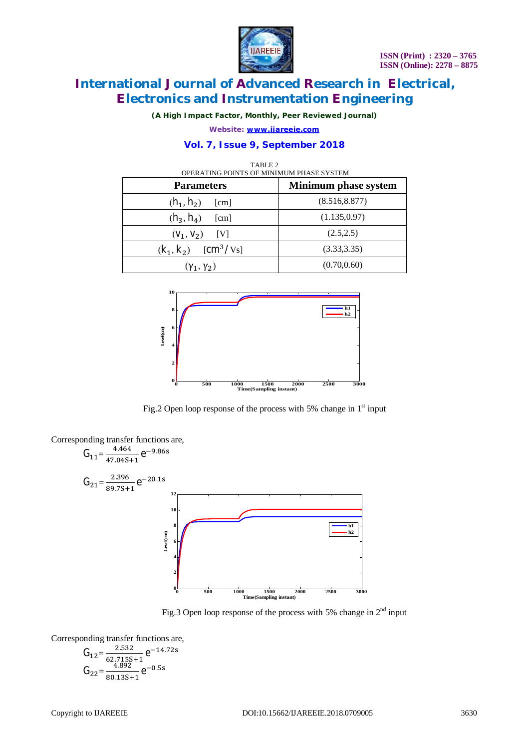

*(A High Impact Factor, Monthly, Peer Reviewed Journal)*

*Website: [www.ijareeie.com](http://www.ijareeie.com)*

### **Vol. 7, Issue 9, September 2018**

| TABLE 2<br>OPERATING POINTS OF MINIMUM PHASE SYSTEM |                             |  |  |
|-----------------------------------------------------|-----------------------------|--|--|
| <b>Parameters</b>                                   | <b>Minimum phase system</b> |  |  |
| $(h_1, h_2)$<br>[cm]                                | (8.516, 8.877)              |  |  |
| $(h_3, h_4)$<br>[cm]                                | (1.135, 0.97)               |  |  |
| $(V_1, V_2)$ [V]                                    | (2.5, 2.5)                  |  |  |
| $(k_1, k_2)$ [cm <sup>3</sup> /V <sub>s]</sub>      | (3.33, 3.35)                |  |  |
| $(\gamma_1, \gamma_2)$                              | (0.70, 0.60)                |  |  |



Fig.2 Open loop response of the process with 5% change in  $1<sup>st</sup>$  input



Fig.3 Open loop response of the process with 5% change in  $2<sup>nd</sup>$  input

Corresponding transfer functions are,

$$
G_{12} = \frac{2.532}{62.7155+1} e^{-14.72s}
$$
  
\n
$$
G_{22} = \frac{4.892}{80.135+1} e^{-0.5s}
$$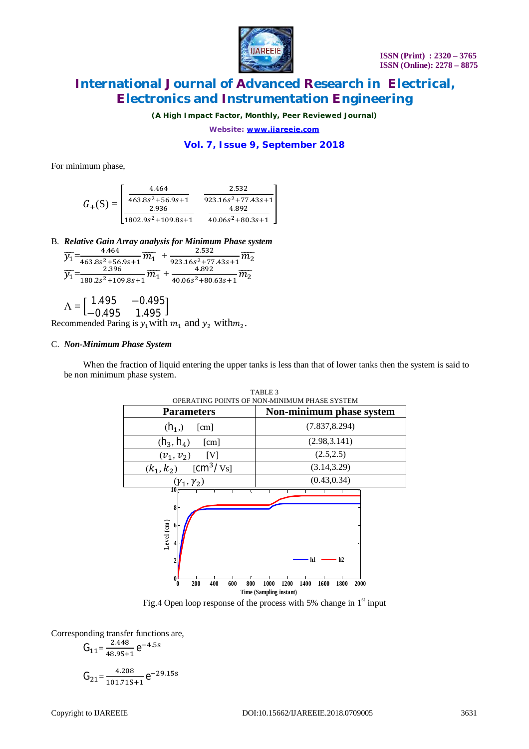

*(A High Impact Factor, Monthly, Peer Reviewed Journal)*

*Website: [www.ijareeie.com](http://www.ijareeie.com)*

### **Vol. 7, Issue 9, September 2018**

For minimum phase,

$$
G_{+}(S) = \begin{bmatrix} \frac{4.464}{463.8s^2 + 56.9s + 1} & \frac{2.532}{923.16s^2 + 77.43s + 1} \\ \frac{2.936}{1802.9s^2 + 109.8s + 1} & \frac{4.892}{40.06s^2 + 80.3s + 1} \end{bmatrix}
$$

B. *Relative Gain Array analysis for Minimum Phase system*

$$
\frac{\overline{y_1}}{\overline{y_1}} = \frac{\overline{4.464}}{\overline{463.8s^2+56.9s+1}} \frac{\overline{m_1}}{\overline{m_1}} + \frac{\overline{2.532}}{\overline{923.16s^2+77.43s+1}} \frac{\overline{m_2}}{\overline{m_2}}
$$
  

$$
\frac{\overline{2.396}}{\overline{y_1}} = \frac{\overline{2.396}}{\overline{180.2s^2+109.8s+1}} \frac{\overline{m_1}}{\overline{m_1}} + \frac{\overline{2.532}}{\overline{40.06s^2+80.63s+1}} \frac{\overline{m_2}}{\overline{m_2}}
$$

$$
\Lambda = \begin{bmatrix} 1.495 & -0.495 \\ -0.495 & 1.495 \end{bmatrix}
$$

Recommended Paring is  $y_1$  with  $m_1$  and  $y_2$  with $m_2$ .

#### C. *Non-Minimum Phase System*

When the fraction of liquid entering the upper tanks is less than that of lower tanks then the system is said to be non minimum phase system.



Fig.4 Open loop response of the process with 5% change in  $1<sup>st</sup>$  input

Corresponding transfer functions are,

$$
G_{11} = \frac{2.448}{48.95+1} e^{-4.5s}
$$

$$
G_{21} = \frac{4.208}{101.715+1} e^{-29.15s}
$$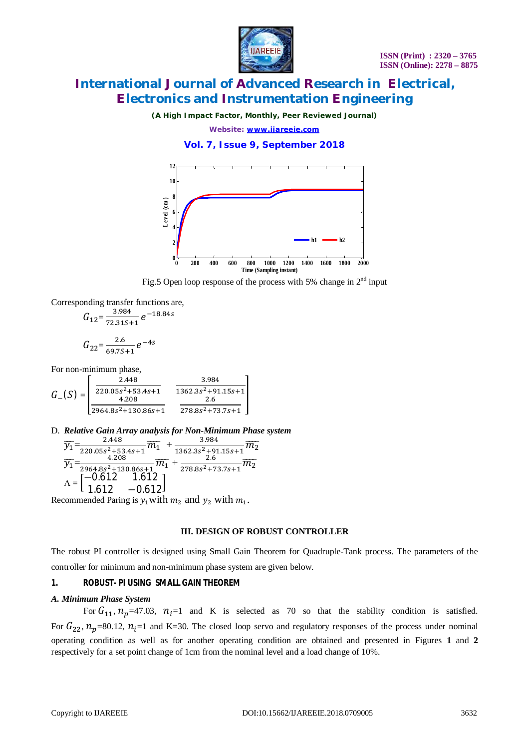

*(A High Impact Factor, Monthly, Peer Reviewed Journal)*

*Website: [www.ijareeie.com](http://www.ijareeie.com)*

**Vol. 7, Issue 9, September 2018**



Fig.5 Open loop response of the process with 5% change in  $2<sup>nd</sup>$  input

Corresponding transfer functions are,

$$
G_{12} = \frac{3.984}{72.315+1} e^{-18.84s}
$$

$$
G_{22} = \frac{2.6}{69.75+1} e^{-4s}
$$

For non-minimum phase,

$$
G_{-}(S) = \begin{bmatrix} \frac{2.448}{220.05s^2 + 53.4s + 1} & \frac{3.984}{1362.3s^2 + 91.15s + 1} \\ \frac{4.208}{2964.8s^2 + 130.86s + 1} & \frac{2.6}{278.8s^2 + 73.7s + 1} \end{bmatrix}
$$

D. *Relative Gain Array analysis for Non-Minimum Phase system*

$$
\frac{1}{\gamma_1} = \frac{2.448}{220.05s^2 + 53.4s + 1} \overline{m_1} + \frac{3.984}{1362.3s^2 + 91.15s + 1} \overline{m_2}
$$
\n
$$
\frac{4.208}{\gamma_1} = \frac{4.208}{2964.8s^2 + 130.86s + 1} \overline{m_1} + \frac{2.6}{278.8s^2 + 73.7s + 1} \overline{m_2}
$$
\n
$$
\Lambda = \begin{bmatrix} -0.612 & 1.612 \\ 1.612 & -0.612 \end{bmatrix}
$$
\nnumber is a with *m*, and *n*, with *m*.

Recommended Paring is  $y_1$  with  $m_2$  and  $y_2$  with  $m_1$ .

#### **III. DESIGN OF ROBUST CONTROLLER**

The robust PI controller is designed using Small Gain Theorem for Quadruple-Tank process. The parameters of the controller for minimum and non-minimum phase system are given below.

#### *1. ROBUST- PI USING SMALL GAIN THEOREM*

#### *A. Minimum Phase System*

For  $G_{11}$ ,  $n_p$ =47.03,  $n_i$ =1 and K is selected as 70 so that the stability condition is satisfied. For  $G_{22}$ ,  $n_p$ =80.12,  $n_i$ =1 and K=30. The closed loop servo and regulatory responses of the process under nominal operating condition as well as for another operating condition are obtained and presented in Figures **1** and **2** respectively for a set point change of 1cm from the nominal level and a load change of 10%.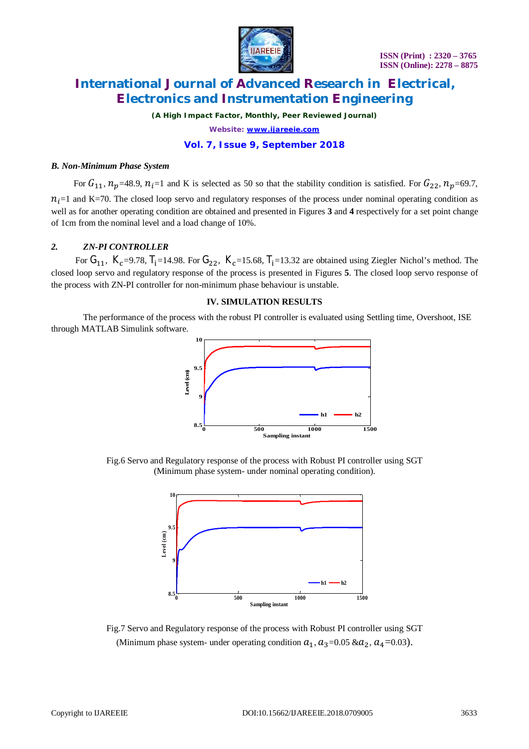

*(A High Impact Factor, Monthly, Peer Reviewed Journal) Website: [www.ijareeie.com](http://www.ijareeie.com)*

### **Vol. 7, Issue 9, September 2018**

#### *B. Non-Minimum Phase System*

For  $G_{11}$ ,  $n_p$ =48.9,  $n_i$ =1 and K is selected as 50 so that the stability condition is satisfied. For  $G_{22}$ ,  $n_p$ =69.7,  $n_i=1$  and K=70. The closed loop servo and regulatory responses of the process under nominal operating condition as well as for another operating condition are obtained and presented in Figures **3** and **4** respectively for a set point change of 1cm from the nominal level and a load change of 10%.

#### *2. ZN-PI CONTROLLER*

For  $G_{11}$ ,  $K_c$ =9.78,  $T_i$ =14.98. For  $G_{22}$ ,  $K_c$ =15.68,  $T_i$ =13.32 are obtained using Ziegler Nichol's method. The closed loop servo and regulatory response of the process is presented in Figures **5**. The closed loop servo response of the process with ZN-PI controller for non-minimum phase behaviour is unstable.

#### **IV. SIMULATION RESULTS**

The performance of the process with the robust PI controller is evaluated using Settling time, Overshoot, ISE through MATLAB Simulink software.



Fig.6 Servo and Regulatory response of the process with Robust PI controller using SGT (Minimum phase system- under nominal operating condition).



Fig.7 Servo and Regulatory response of the process with Robust PI controller using SGT (Minimum phase system- under operating condition  $a_1$ ,  $a_3$ =0.05 & $a_2$ ,  $a_4$ =0.03).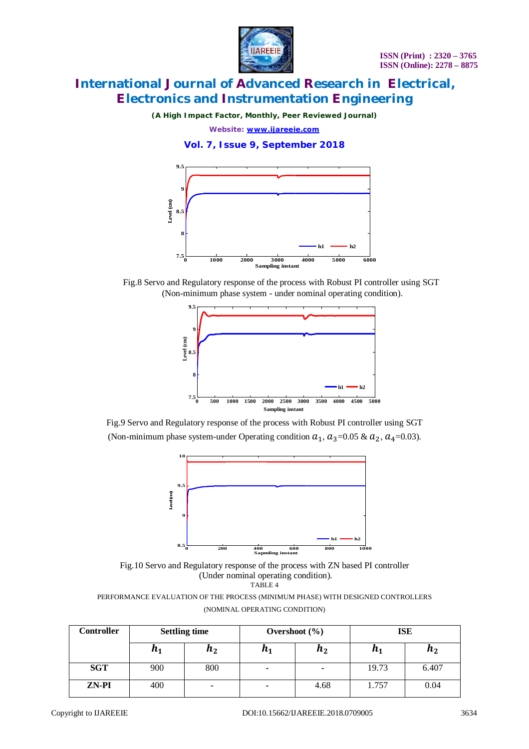

*(A High Impact Factor, Monthly, Peer Reviewed Journal)*

*Website: [www.ijareeie.com](http://www.ijareeie.com)*

**Vol. 7, Issue 9, September 2018**



Fig.8 Servo and Regulatory response of the process with Robust PI controller using SGT (Non-minimum phase system - under nominal operating condition).



Fig.9 Servo and Regulatory response of the process with Robust PI controller using SGT (Non-minimum phase system-under Operating condition  $a_1$ ,  $a_3$ =0.05 &  $a_2$ ,  $a_4$ =0.03).



Fig.10 Servo and Regulatory response of the process with ZN based PI controller (Under nominal operating condition). TABLE 4

PERFORMANCE EVALUATION OF THE PROCESS (MINIMUM PHASE) WITH DESIGNED CONTROLLERS (NOMINAL OPERATING CONDITION)

| Controller | <b>Settling time</b> |                    | Overshoot $(\% )$ |         | <b>ISE</b>         |                    |
|------------|----------------------|--------------------|-------------------|---------|--------------------|--------------------|
|            | $n_{1}$              | $\boldsymbol{n_2}$ | п1                | $n_{2}$ | $\boldsymbol{n_1}$ | $\boldsymbol{n_2}$ |
| <b>SGT</b> | 900                  | 800                |                   | ٠       | 19.73              | 6.407              |
| ZN-PI      | 400                  | $\blacksquare$     | ۰                 | 4.68    | 1.757              | 0.04               |